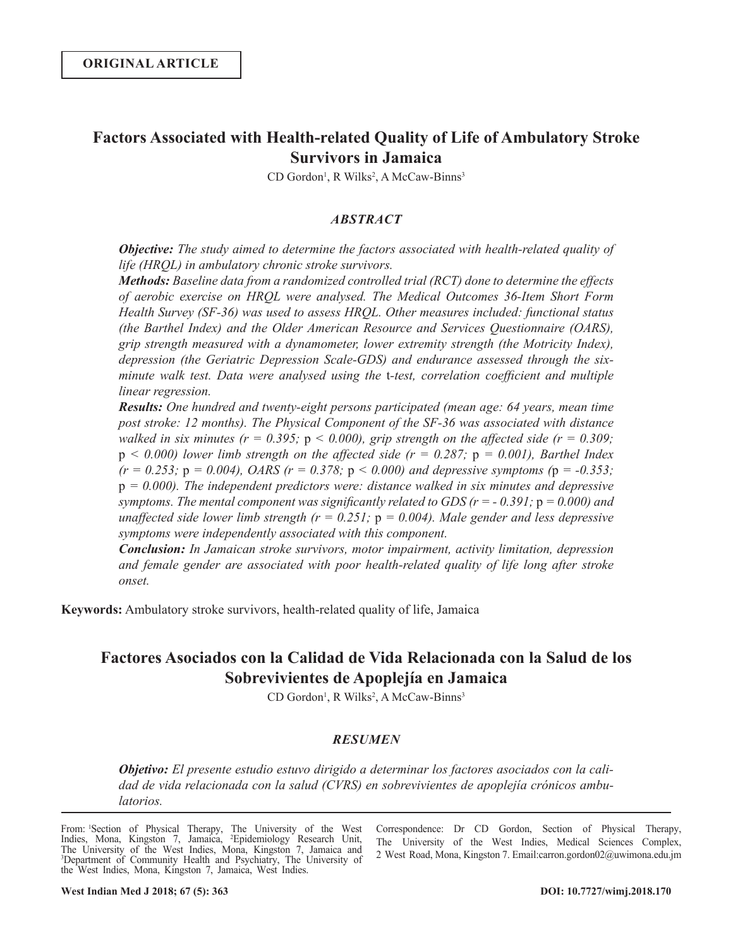# **Factors Associated with Health-related Quality of Life of Ambulatory Stroke Survivors in Jamaica**

CD Gordon<sup>1</sup>, R Wilks<sup>2</sup>, A McCaw-Binns<sup>3</sup>

# *ABSTRACT*

*Objective: The study aimed to determine the factors associated with health-related quality of life (HRQL) in ambulatory chronic stroke survivors.*

*Methods: Baseline data from a randomized controlled trial (RCT) done to determine the effects of aerobic exercise on HRQL were analysed. The Medical Outcomes 36-Item Short Form Health Survey (SF-36) was used to assess HRQL. Other measures included: functional status (the Barthel Index) and the Older American Resource and Services Questionnaire (OARS), grip strength measured with a dynamometer, lower extremity strength (the Motricity Index), depression (the Geriatric Depression Scale-GDS) and endurance assessed through the sixminute walk test. Data were analysed using the* t*-test, correlation coefficient and multiple linear regression.*

*Results: One hundred and twenty-eight persons participated (mean age: 64 years, mean time post stroke: 12 months). The Physical Component of the SF-36 was associated with distance walked in six minutes (r = 0.395; p < 0.000), grip strength on the affected side (r = 0.309;*  $p \le 0.000$ ) lower limb strength on the affected side ( $r = 0.287$ ;  $p = 0.001$ ), Barthel Index  $(r = 0.253; p = 0.004)$ , *OARS*  $(r = 0.378; p < 0.000)$  and depressive symptoms  $(p = -0.353;$ p *= 0.000). The independent predictors were: distance walked in six minutes and depressive symptoms. The mental component was significantly related to GDS (r = - 0.391;* p *= 0.000) and unaffected side lower limb strength (* $r = 0.251$ *;*  $p = 0.004$ *). Male gender and less depressive symptoms were independently associated with this component.*

*Conclusion: In Jamaican stroke survivors, motor impairment, activity limitation, depression and female gender are associated with poor health-related quality of life long after stroke onset.*

**Keywords:** Ambulatory stroke survivors, health-related quality of life, Jamaica

# **Factores Asociados con la Calidad de Vida Relacionada con la Salud de los Sobrevivientes de Apoplejía en Jamaica**

CD Gordon<sup>1</sup>, R Wilks<sup>2</sup>, A McCaw-Binns<sup>3</sup>

# *RESUMEN*

*Objetivo: El presente estudio estuvo dirigido a determinar los factores asociados con la calidad de vida relacionada con la salud (CVRS) en sobrevivientes de apoplejía crónicos ambulatorios.*

Correspondence: Dr CD Gordon, Section of Physical Therapy, The University of the West Indies, Medical Sciences Complex, 2 West Road, Mona, Kingston 7. Email:carron.gordon02@uwimona.edu.jm

From: <sup>1</sup>Section of Physical Therapy, The University of the West Indies, Mona, Kingston 7, Jamaica, <sup>2</sup>Epidemiology Research Unit, The University of the West Indies, Mona, Kingston 7, Jamaica and <sup>3</sup>Department of Community Health and Psychiatry, The University of the West Indies, Mona, Kingston 7, Jamaica, West Indies.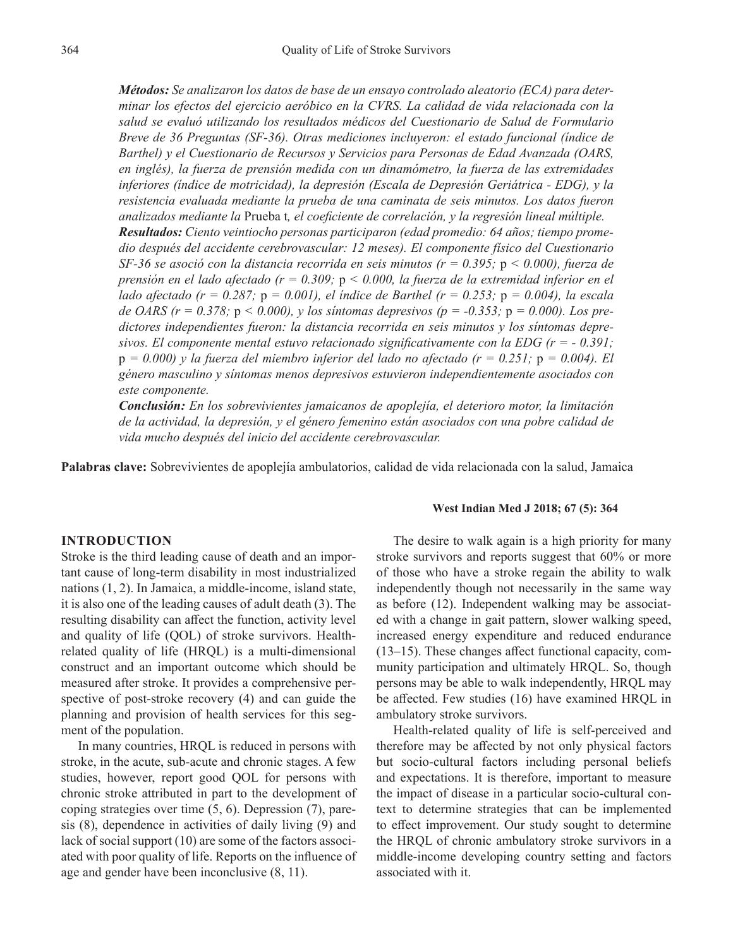*Métodos: Se analizaron los datos de base de un ensayo controlado aleatorio (ECA) para determinar los efectos del ejercicio aeróbico en la CVRS. La calidad de vida relacionada con la salud se evaluó utilizando los resultados médicos del Cuestionario de Salud de Formulario Breve de 36 Preguntas (SF-36). Otras mediciones incluyeron: el estado funcional (índice de Barthel) y el Cuestionario de Recursos y Servicios para Personas de Edad Avanzada (OARS, en inglés), la fuerza de prensión medida con un dinamómetro, la fuerza de las extremidades inferiores (índice de motricidad), la depresión (Escala de Depresión Geriátrica - EDG), y la resistencia evaluada mediante la prueba de una caminata de seis minutos. Los datos fueron analizados mediante la* Prueba t*, el coeficiente de correlación, y la regresión lineal múltiple. Resultados: Ciento veintiocho personas participaron (edad promedio: 64 años; tiempo promedio después del accidente cerebrovascular: 12 meses). El componente físico del Cuestionario SF-36 se asoció con la distancia recorrida en seis minutos (r = 0.395;* p *< 0.000), fuerza de prensión en el lado afectado (r = 0.309;* p *< 0.000, la fuerza de la extremidad inferior en el* 

*lado afectado (r = 0.287;* p *= 0.001), el índice de Barthel (r = 0.253;* p *= 0.004), la escala de OARS (r = 0.378;* p *< 0.000), y los síntomas depresivos (p = -0.353;* p *= 0.000). Los predictores independientes fueron: la distancia recorrida en seis minutos y los síntomas depresivos. El componente mental estuvo relacionado significativamente con la EDG (r = - 0.391;*   $p = 0.000$ ) y la fuerza del miembro inferior del lado no afectado ( $r = 0.251$ ;  $p = 0.004$ ). El *género masculino y síntomas menos depresivos estuvieron independientemente asociados con este componente.*

*Conclusión: En los sobrevivientes jamaicanos de apoplejía, el deterioro motor, la limitación de la actividad, la depresión, y el género femenino están asociados con una pobre calidad de vida mucho después del inicio del accidente cerebrovascular.*

**Palabras clave:** Sobrevivientes de apoplejía ambulatorios, calidad de vida relacionada con la salud, Jamaica

#### **INTRODUCTION**

Stroke is the third leading cause of death and an important cause of long-term disability in most industrialized nations (1, 2). In Jamaica, a middle-income, island state, it is also one of the leading causes of adult death (3). The resulting disability can affect the function, activity level and quality of life (QOL) of stroke survivors. Healthrelated quality of life (HRQL) is a multi-dimensional construct and an important outcome which should be measured after stroke. It provides a comprehensive perspective of post-stroke recovery (4) and can guide the planning and provision of health services for this segment of the population.

In many countries, HRQL is reduced in persons with stroke, in the acute, sub-acute and chronic stages. A few studies, however, report good QOL for persons with chronic stroke attributed in part to the development of coping strategies over time (5, 6). Depression (7), paresis (8), dependence in activities of daily living (9) and lack of social support (10) are some of the factors associated with poor quality of life. Reports on the influence of age and gender have been inconclusive (8, 11).

#### **West Indian Med J 2018; 67 (5): 364**

The desire to walk again is a high priority for many stroke survivors and reports suggest that 60% or more of those who have a stroke regain the ability to walk independently though not necessarily in the same way as before (12). Independent walking may be associated with a change in gait pattern, slower walking speed, increased energy expenditure and reduced endurance (13‒15). These changes affect functional capacity, community participation and ultimately HRQL. So, though persons may be able to walk independently, HRQL may be affected. Few studies (16) have examined HRQL in ambulatory stroke survivors.

Health-related quality of life is self-perceived and therefore may be affected by not only physical factors but socio-cultural factors including personal beliefs and expectations. It is therefore, important to measure the impact of disease in a particular socio-cultural context to determine strategies that can be implemented to effect improvement. Our study sought to determine the HRQL of chronic ambulatory stroke survivors in a middle-income developing country setting and factors associated with it.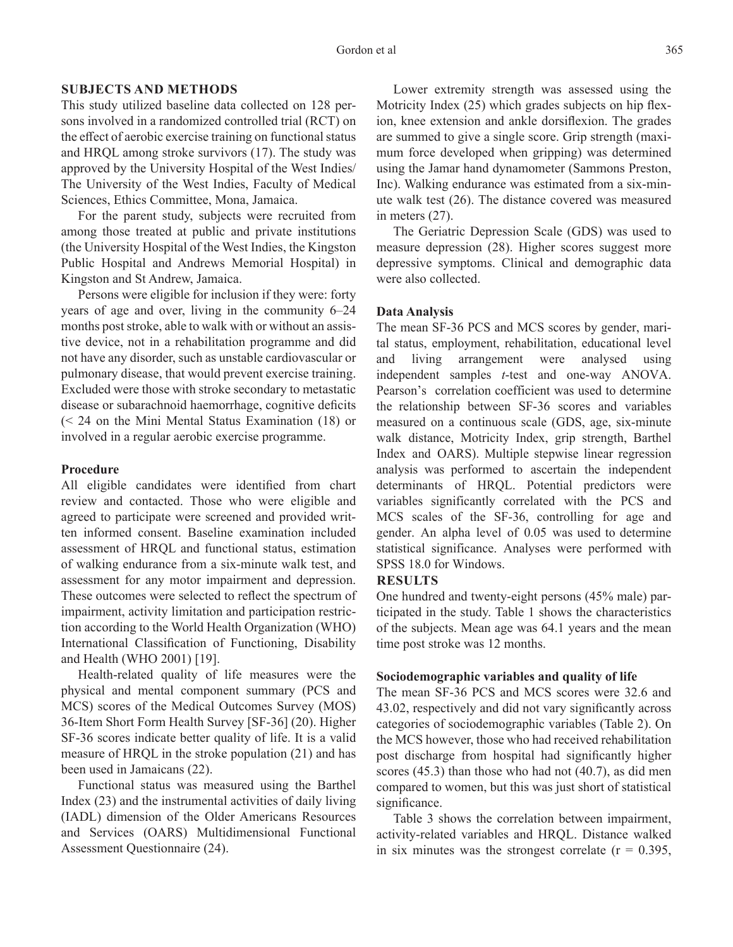# **SUBJECTS AND METHODS**

This study utilized baseline data collected on 128 persons involved in a randomized controlled trial (RCT) on the effect of aerobic exercise training on functional status and HRQL among stroke survivors (17). The study was approved by the University Hospital of the West Indies/ The University of the West Indies, Faculty of Medical Sciences, Ethics Committee, Mona, Jamaica.

For the parent study, subjects were recruited from among those treated at public and private institutions (the University Hospital of the West Indies, the Kingston Public Hospital and Andrews Memorial Hospital) in Kingston and St Andrew, Jamaica.

Persons were eligible for inclusion if they were: forty years of age and over, living in the community  $6-24$ months post stroke, able to walk with or without an assistive device, not in a rehabilitation programme and did not have any disorder, such as unstable cardiovascular or pulmonary disease, that would prevent exercise training. Excluded were those with stroke secondary to metastatic disease or subarachnoid haemorrhage, cognitive deficits (< 24 on the Mini Mental Status Examination (18) or involved in a regular aerobic exercise programme.

#### **Procedure**

All eligible candidates were identified from chart review and contacted. Those who were eligible and agreed to participate were screened and provided written informed consent. Baseline examination included assessment of HRQL and functional status, estimation of walking endurance from a six-minute walk test, and assessment for any motor impairment and depression. These outcomes were selected to reflect the spectrum of impairment, activity limitation and participation restriction according to the World Health Organization (WHO) International Classification of Functioning, Disability and Health (WHO 2001) [19].

Health-related quality of life measures were the physical and mental component summary (PCS and MCS) scores of the Medical Outcomes Survey (MOS) 36-Item Short Form Health Survey [SF-36] (20). Higher SF-36 scores indicate better quality of life. It is a valid measure of HRQL in the stroke population (21) and has been used in Jamaicans (22).

Functional status was measured using the Barthel Index (23) and the instrumental activities of daily living (IADL) dimension of the Older Americans Resources and Services (OARS) Multidimensional Functional Assessment Questionnaire (24).

Lower extremity strength was assessed using the Motricity Index (25) which grades subjects on hip flexion, knee extension and ankle dorsiflexion. The grades are summed to give a single score. Grip strength (maximum force developed when gripping) was determined using the Jamar hand dynamometer (Sammons Preston, Inc). Walking endurance was estimated from a six-minute walk test (26). The distance covered was measured in meters (27).

The Geriatric Depression Scale (GDS) was used to measure depression (28). Higher scores suggest more depressive symptoms. Clinical and demographic data were also collected.

#### **Data Analysis**

The mean SF-36 PCS and MCS scores by gender, marital status, employment, rehabilitation, educational level and living arrangement were analysed using independent samples *t*-test and one-way ANOVA. Pearson's correlation coefficient was used to determine the relationship between SF-36 scores and variables measured on a continuous scale (GDS, age, six-minute walk distance, Motricity Index, grip strength, Barthel Index and OARS). Multiple stepwise linear regression analysis was performed to ascertain the independent determinants of HRQL. Potential predictors were variables significantly correlated with the PCS and MCS scales of the SF-36, controlling for age and gender. An alpha level of 0.05 was used to determine statistical significance. Analyses were performed with SPSS 18.0 for Windows.

#### **RESULTS**

One hundred and twenty-eight persons (45% male) participated in the study. Table 1 shows the characteristics of the subjects. Mean age was 64.1 years and the mean time post stroke was 12 months.

#### **Sociodemographic variables and quality of life**

The mean SF-36 PCS and MCS scores were 32.6 and 43.02, respectively and did not vary significantly across categories of sociodemographic variables (Table 2). On the MCS however, those who had received rehabilitation post discharge from hospital had significantly higher scores (45.3) than those who had not (40.7), as did men compared to women, but this was just short of statistical significance.

Table 3 shows the correlation between impairment, activity-related variables and HRQL. Distance walked in six minutes was the strongest correlate  $(r = 0.395)$ ,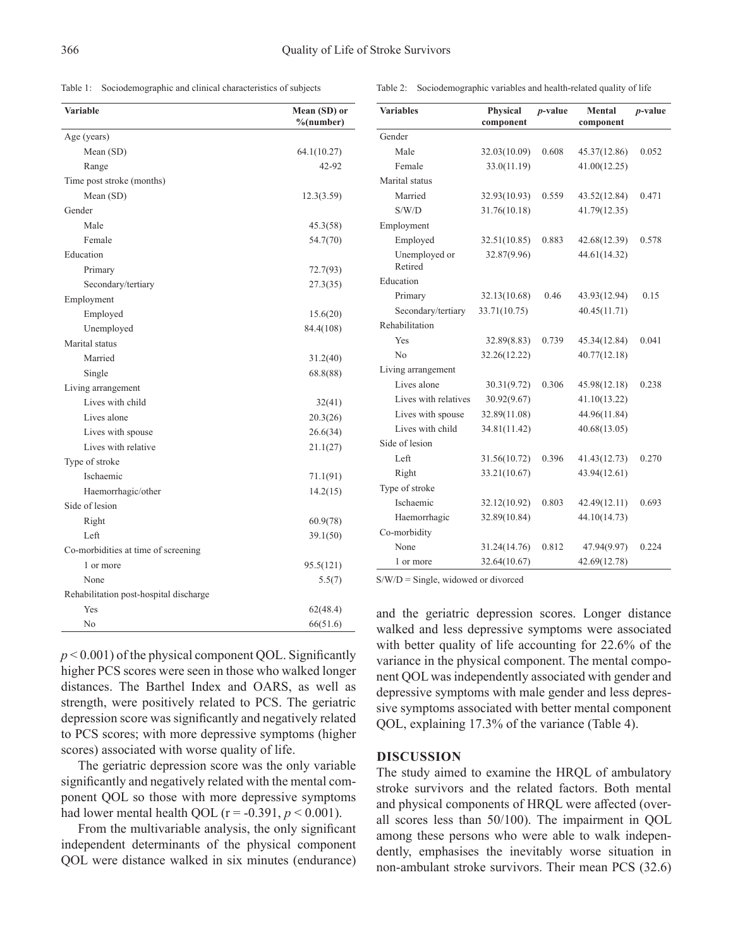Table 1: Sociodemographic and clinical characteristics of subjects

| <b>Variable</b>                        | Mean (SD) or<br>%(number) |
|----------------------------------------|---------------------------|
| Age (years)                            |                           |
| Mean (SD)                              | 64.1(10.27)               |
| Range                                  | 42-92                     |
| Time post stroke (months)              |                           |
| Mean (SD)                              | 12.3(3.59)                |
| Gender                                 |                           |
| Male                                   | 45.3(58)                  |
| Female                                 | 54.7(70)                  |
| Education                              |                           |
| Primary                                | 72.7(93)                  |
| Secondary/tertiary                     | 27.3(35)                  |
| Employment                             |                           |
| Employed                               | 15.6(20)                  |
| Unemployed                             | 84.4(108)                 |
| Marital status                         |                           |
| Married                                | 31.2(40)                  |
| Single                                 | 68.8(88)                  |
| Living arrangement                     |                           |
| Lives with child                       | 32(41)                    |
| Lives alone                            | 20.3(26)                  |
| Lives with spouse                      | 26.6(34)                  |
| Lives with relative                    | 21.1(27)                  |
| Type of stroke                         |                           |
| Ischaemic                              | 71.1(91)                  |
| Haemorrhagic/other                     | 14.2(15)                  |
| Side of lesion                         |                           |
| Right                                  | 60.9(78)                  |
| Left                                   | 39.1(50)                  |
| Co-morbidities at time of screening    |                           |
| 1 or more                              | 95.5(121)                 |
| None                                   | 5.5(7)                    |
| Rehabilitation post-hospital discharge |                           |
| Yes                                    | 62(48.4)                  |
| No                                     | 66(51.6)                  |

| Gender                                |              |       |              |       |  |
|---------------------------------------|--------------|-------|--------------|-------|--|
| Male                                  | 32.03(10.09) | 0.608 | 45.37(12.86) | 0.052 |  |
| Female                                | 33.0(11.19)  |       | 41.00(12.25) |       |  |
| Marital status                        |              |       |              |       |  |
| Married                               | 32.93(10.93) | 0.559 | 43.52(12.84) | 0.471 |  |
| S/W/D                                 | 31.76(10.18) |       | 41.79(12.35) |       |  |
| Employment                            |              |       |              |       |  |
| Employed                              | 32.51(10.85) | 0.883 | 42.68(12.39) | 0.578 |  |
| Unemployed or<br>Retired              | 32.87(9.96)  |       | 44.61(14.32) |       |  |
| Education                             |              |       |              |       |  |
| Primary                               | 32.13(10.68) | 0.46  | 43.93(12.94) | 0.15  |  |
| Secondary/tertiary                    | 33.71(10.75) |       | 40.45(11.71) |       |  |
| Rehabilitation                        |              |       |              |       |  |
| Yes                                   | 32.89(8.83)  | 0.739 | 45.34(12.84) | 0.041 |  |
| No                                    | 32.26(12.22) |       | 40.77(12.18) |       |  |
| Living arrangement                    |              |       |              |       |  |
| Lives alone                           | 30.31(9.72)  | 0.306 | 45.98(12.18) | 0.238 |  |
| Lives with relatives                  | 30.92(9.67)  |       | 41.10(13.22) |       |  |
| Lives with spouse                     | 32.89(11.08) |       | 44.96(11.84) |       |  |
| Lives with child                      | 34.81(11.42) |       | 40.68(13.05) |       |  |
| Side of lesion                        |              |       |              |       |  |
| Left                                  | 31.56(10.72) | 0.396 | 41.43(12.73) | 0.270 |  |
| Right                                 | 33.21(10.67) |       | 43.94(12.61) |       |  |
| Type of stroke                        |              |       |              |       |  |
| Ischaemic                             | 32.12(10.92) | 0.803 | 42.49(12.11) | 0.693 |  |
| Haemorrhagic                          | 32.89(10.84) |       | 44.10(14.73) |       |  |
| Co-morbidity                          |              |       |              |       |  |
| None                                  | 31.24(14.76) | 0.812 | 47.94(9.97)  | 0.224 |  |
| 1 or more                             | 32.64(10.67) |       | 42.69(12.78) |       |  |
| $S/W/D =$ Single, widowed or divorced |              |       |              |       |  |

S/W/D = Single, widowed or divorced

 $p < 0.001$ ) of the physical component QOL. Significantly higher PCS scores were seen in those who walked longer distances. The Barthel Index and OARS, as well as strength, were positively related to PCS. The geriatric depression score was significantly and negatively related to PCS scores; with more depressive symptoms (higher scores) associated with worse quality of life.

The geriatric depression score was the only variable significantly and negatively related with the mental component QOL so those with more depressive symptoms had lower mental health QOL ( $r = -0.391$ ,  $p < 0.001$ ).

From the multivariable analysis, the only significant independent determinants of the physical component QOL were distance walked in six minutes (endurance)

and the geriatric depression scores. Longer distance walked and less depressive symptoms were associated with better quality of life accounting for 22.6% of the variance in the physical component. The mental component QOL was independently associated with gender and depressive symptoms with male gender and less depressive symptoms associated with better mental component QOL, explaining 17.3% of the variance (Table 4).

# **DISCUSSION**

The study aimed to examine the HRQL of ambulatory stroke survivors and the related factors. Both mental and physical components of HRQL were affected (overall scores less than 50/100). The impairment in QOL among these persons who were able to walk independently, emphasises the inevitably worse situation in non-ambulant stroke survivors. Their mean PCS (32.6)

Table 2: Sociodemographic variables and health-related quality of life

*p***-value Mental** 

**component**

*p***-value**

**component**

**Variables Physical**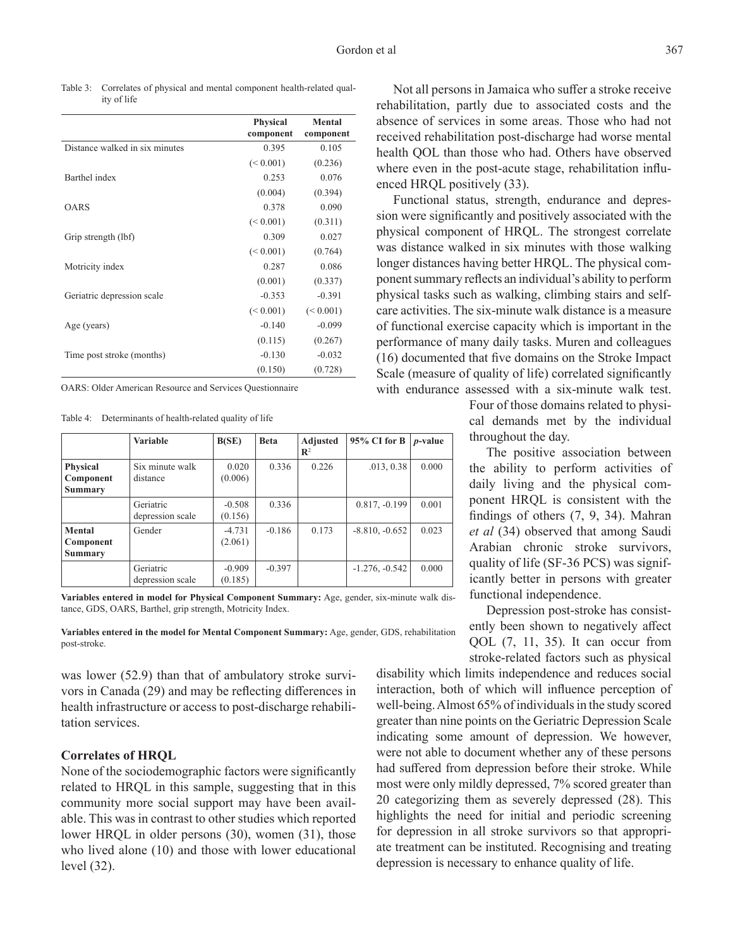Table 3: Correlates of physical and mental component health-related quality of life

|                                | <b>Physical</b> | Mental    |  |
|--------------------------------|-----------------|-----------|--|
|                                | component       | component |  |
| Distance walked in six minutes | 0.395           | 0.105     |  |
|                                | (< 0.001)       | (0.236)   |  |
| Barthel index                  | 0.253           | 0.076     |  |
|                                | (0.004)         | (0.394)   |  |
| OARS                           | 0.378           | 0.090     |  |
|                                | (< 0.001)       | (0.311)   |  |
| Grip strength (lbf)            | 0.309           | 0.027     |  |
|                                | (< 0.001)       | (0.764)   |  |
| Motricity index                | 0.287           | 0.086     |  |
|                                | (0.001)         | (0.337)   |  |
| Geriatric depression scale     | $-0.353$        | $-0.391$  |  |
|                                | (< 0.001)       | (< 0.001) |  |
| Age (years)                    | $-0.140$        | $-0.099$  |  |
|                                | (0.115)         | (0.267)   |  |
| Time post stroke (months)      | $-0.130$        | $-0.032$  |  |
|                                | (0.150)         | (0.728)   |  |
|                                |                 |           |  |

OARS: Older American Resource and Services Questionnaire

Table 4: Determinants of health-related quality of life

|                                                | <b>Variable</b>               | B(SE)               | <b>Beta</b> | <b>Adjusted</b><br>$\mathbb{R}^2$ | 95% CI for B     | <i>p</i> -value |
|------------------------------------------------|-------------------------------|---------------------|-------------|-----------------------------------|------------------|-----------------|
| <b>Physical</b><br>Component<br><b>Summary</b> | Six minute walk<br>distance   | 0.020<br>(0.006)    | 0.336       | 0.226                             | .013, 0.38       | 0.000           |
|                                                | Geriatric<br>depression scale | $-0.508$<br>(0.156) | 0.336       |                                   | $0.817, -0.199$  | 0.001           |
| Mental<br>Component<br><b>Summary</b>          | Gender                        | $-4.731$<br>(2.061) | $-0.186$    | 0.173                             | $-8.810, -0.652$ | 0.023           |
|                                                | Geriatric<br>depression scale | $-0.909$<br>(0.185) | $-0.397$    |                                   | $-1.276, -0.542$ | 0.000           |

**Variables entered in model for Physical Component Summary:** Age, gender, six-minute walk distance, GDS, OARS, Barthel, grip strength, Motricity Index.

**Variables entered in the model for Mental Component Summary:** Age, gender, GDS, rehabilitation post-stroke.

was lower (52.9) than that of ambulatory stroke survivors in Canada (29) and may be reflecting differences in health infrastructure or access to post-discharge rehabilitation services.

#### **Correlates of HRQL**

None of the sociodemographic factors were significantly related to HRQL in this sample, suggesting that in this community more social support may have been available. This was in contrast to other studies which reported lower HRQL in older persons (30), women (31), those who lived alone (10) and those with lower educational level (32).

Not all persons in Jamaica who suffer a stroke receive rehabilitation, partly due to associated costs and the absence of services in some areas. Those who had not received rehabilitation post-discharge had worse mental health QOL than those who had. Others have observed where even in the post-acute stage, rehabilitation influenced HRQL positively (33).

Functional status, strength, endurance and depression were significantly and positively associated with the physical component of HRQL. The strongest correlate was distance walked in six minutes with those walking longer distances having better HRQL. The physical component summary reflects an individual's ability to perform physical tasks such as walking, climbing stairs and selfcare activities. The six-minute walk distance is a measure of functional exercise capacity which is important in the performance of many daily tasks. Muren and colleagues (16) documented that five domains on the Stroke Impact Scale (measure of quality of life) correlated significantly with endurance assessed with a six-minute walk test.

> Four of those domains related to physical demands met by the individual throughout the day.

> The positive association between the ability to perform activities of daily living and the physical component HRQL is consistent with the findings of others (7, 9, 34). Mahran *et al* (34) observed that among Saudi Arabian chronic stroke survivors, quality of life (SF-36 PCS) was significantly better in persons with greater functional independence.

> Depression post-stroke has consistently been shown to negatively affect QOL (7, 11, 35). It can occur from stroke-related factors such as physical

disability which limits independence and reduces social interaction, both of which will influence perception of well-being. Almost 65% of individuals in the study scored greater than nine points on the Geriatric Depression Scale indicating some amount of depression. We however, were not able to document whether any of these persons had suffered from depression before their stroke. While most were only mildly depressed, 7% scored greater than 20 categorizing them as severely depressed (28). This highlights the need for initial and periodic screening for depression in all stroke survivors so that appropriate treatment can be instituted. Recognising and treating depression is necessary to enhance quality of life.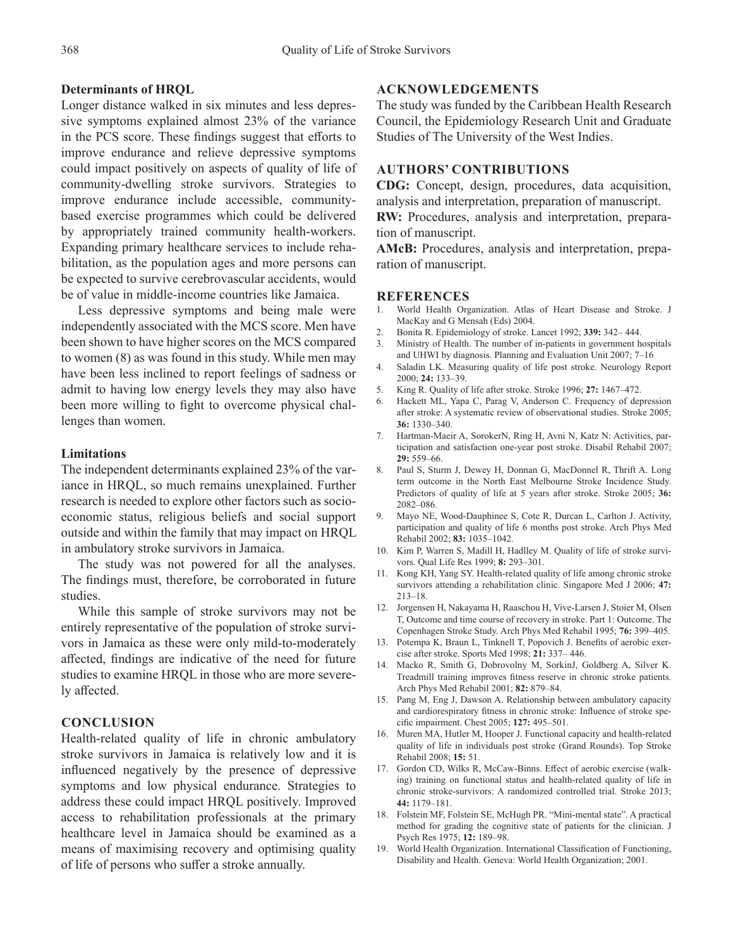# **Determinants of HRQL**

Longer distance walked in six minutes and less depressive symptoms explained almost 23% of the variance in the PCS score. These findings suggest that efforts to improve endurance and relieve depressive symptoms could impact positively on aspects of quality of life of community-dwelling stroke survivors. Strategies to improve endurance include accessible, communitybased exercise programmes which could be delivered by appropriately trained community health-workers. Expanding primary healthcare services to include rehabilitation, as the population ages and more persons can be expected to survive cerebrovascular accidents, would be of value in middle-income countries like Jamaica.

Less depressive symptoms and being male were independently associated with the MCS score. Men have been shown to have higher scores on the MCS compared to women (8) as was found in this study. While men may have been less inclined to report feelings of sadness or admit to having low energy levels they may also have been more willing to fight to overcome physical challenges than women.

#### **Limitations**

The independent determinants explained 23% of the variance in HRQL, so much remains unexplained. Further research is needed to explore other factors such as socioeconomic status, religious beliefs and social support outside and within the family that may impact on HRQL in ambulatory stroke survivors in Jamaica.

The study was not powered for all the analyses. The findings must, therefore, be corroborated in future studies.

While this sample of stroke survivors may not be entirely representative of the population of stroke survivors in Jamaica as these were only mild-to-moderately affected, findings are indicative of the need for future studies to examine HRQL in those who are more severely affected.

# **CONCLUSION**

Health-related quality of life in chronic ambulatory stroke survivors in Jamaica is relatively low and it is influenced negatively by the presence of depressive symptoms and low physical endurance. Strategies to address these could impact HRQL positively. Improved access to rehabilitation professionals at the primary healthcare level in Jamaica should be examined as a means of maximising recovery and optimising quality of life of persons who suffer a stroke annually.

# **ACKNOWLEDGEMENTS**

The study was funded by the Caribbean Health Research Council, the Epidemiology Research Unit and Graduate Studies of The University of the West Indies.

#### **AUTHORS' CONTRIBUTIONS**

**CDG:** Concept, design, procedures, data acquisition, analysis and interpretation, preparation of manuscript. **RW:** Procedures, analysis and interpretation, preparation of manuscript.

**AMcB:** Procedures, analysis and interpretation, preparation of manuscript.

#### **REFERENCES**

- 1. World Health Organization. Atlas of Heart Disease and Stroke. J MacKay and G Mensah (Eds) 2004.
- 2. Bonita R. Epidemiology of stroke. Lancet 1992; **339:** 342‒ 444.
- 3. Ministry of Health. The number of in-patients in government hospitals and UHWI by diagnosis. Planning and Evaluation Unit 2007; 7-16
- 4. Saladin LK. Measuring quality of life post stroke. Neurology Report 2000; **24:** 133‒39.
- 5. King R. Quality of life after stroke. Stroke 1996; 27: 1467-472.
- 6. Hackett ML, Yapa C, Parag V, Anderson C. Frequency of depression after stroke: A systematic review of observational studies. Stroke 2005; **36:** 1330‒340.
- 7. Hartman-Maeir A, SorokerN, Ring H, Avni N, Katz N: Activities, participation and satisfaction one-year post stroke. Disabil Rehabil 2007; **29:** 559‒66.
- 8. Paul S, Sturm J, Dewey H, Donnan G, MacDonnel R, Thrift A. Long term outcome in the North East Melbourne Stroke Incidence Study. Predictors of quality of life at 5 years after stroke. Stroke 2005; **36:** 2082‒086.
- 9. Mayo NE, Wood-Dauphinee S, Cote R, Durcan L, Carlton J. Activity, participation and quality of life 6 months post stroke. Arch Phys Med Rehabil 2002; **83:** 1035‒1042.
- 10. Kim P, Warren S, Madill H, Hadlley M. Quality of life of stroke survivors. Qual Life Res 1999; **8:** 293‒301.
- 11. Kong KH, Yang SY. Health-related quality of life among chronic stroke survivors attending a rehabilitation clinic. Singapore Med J 2006; **47:** 213‒18.
- 12. Jorgensen H, Nakayama H, Raaschou H, Vive-Larsen J, Stoier M, Olsen T, Outcome and time course of recovery in stroke. Part 1: Outcome. The Copenhagen Stroke Study. Arch Phys Med Rehabil 1995; **76:** 399‒405.
- 13. Potempa K, Braun L, Tinknell T, Popovich J. Benefits of aerobic exercise after stroke. Sports Med 1998; **21:** 337‒ 446.
- 14. Macko R, Smith G, Dobrovolny M, SorkinJ, Goldberg A, Silver K. Treadmill training improves fitness reserve in chronic stroke patients. Arch Phys Med Rehabil 2001; **82:** 879‒84.
- 15. Pang M, Eng J, Dawson A. Relationship between ambulatory capacity and cardiorespiratory fitness in chronic stroke: Influence of stroke specific impairment. Chest 2005; **127:** 495‒501.
- 16. Muren MA, Hutler M, Hooper J. Functional capacity and health-related quality of life in individuals post stroke (Grand Rounds). Top Stroke Rehabil 2008; **15:** 51.
- 17. Gordon CD, Wilks R, McCaw-Binns. Effect of aerobic exercise (walking) training on functional status and health-related quality of life in chronic stroke-survivors: A randomized controlled trial. Stroke 2013; **44:** 1179‒181.
- 18. Folstein MF, Folstein SE, McHugh PR. "Mini-mental state". A practical method for grading the cognitive state of patients for the clinician. J Psych Res 1975; **12:** 189‒98.
- 19. World Health Organization. International Classification of Functioning, Disability and Health. Geneva: World Health Organization; 2001.